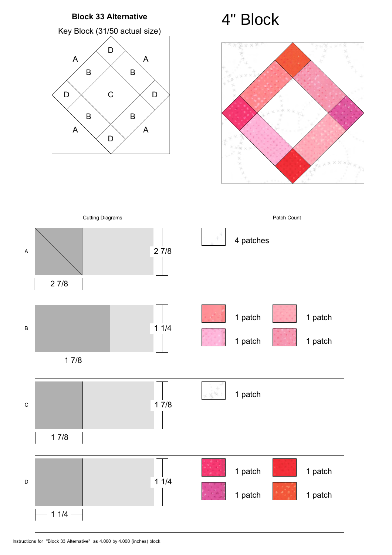



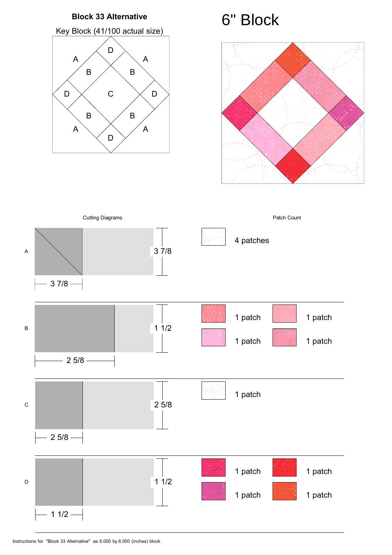#### **Block 33 Alternative**

Key Block (41/100 actual size)





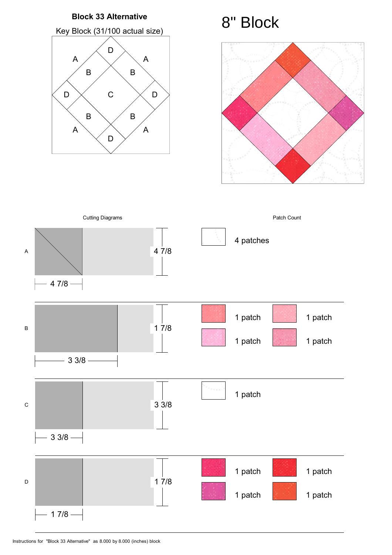#### **Block 33 Alternative**

Key Block (31/100 actual size)